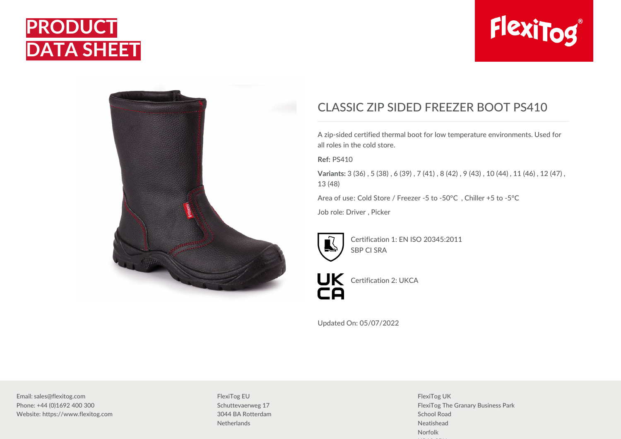





## CLASSIC ZIP SIDED FREEZER BOOT PS410

A zip-sided certified thermal boot for low temperature environments. Used for all roles in the cold store.

**Ref:** PS410

**Variants:** 3 (36) , 5 (38) , 6 (39) , 7 (41) , 8 (42) , 9 (43) , 10 (44) , 11 (46) , 12 (47) , 13 (48)

Area of use: Cold Store / Freezer -5 to -50°C , Chiller +5 to -5°C

Job role: Driver , Picker



Certification 1: EN ISO 20345:2011 SBP CI SRA



UK Certification 2: UKCA

Updated On: 05/07/2022

Email: sales@flexitog.com Phone: +44 (0)1692 400 300 Website: https://www.flexitog.com FlexiTog EU Schuttevaerweg 17 3044 BA Rotterdam **Netherlands** 

FlexiTog UK FlexiTog The Granary Business Park School Road Neatishead Norfolk